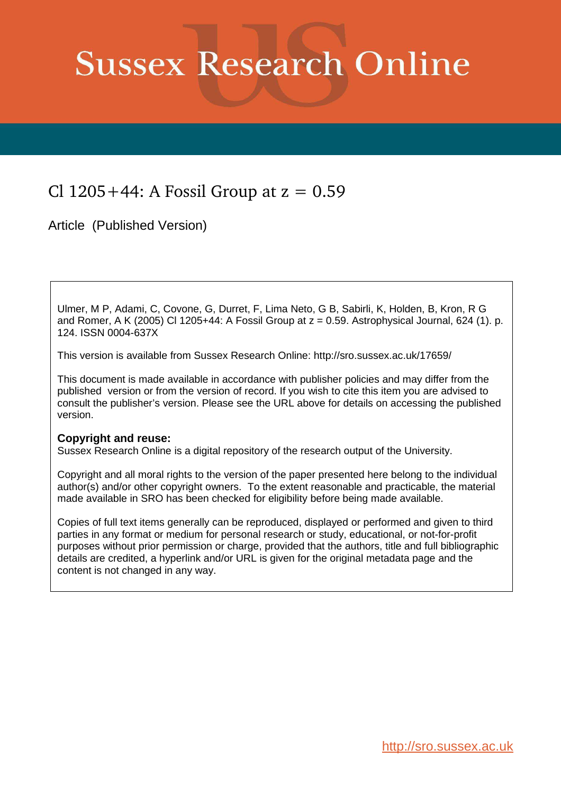# **Sussex Research Online**

## Cl  $1205+44$ : A Fossil Group at  $z = 0.59$

Article (Published Version)

Ulmer, M P, Adami, C, Covone, G, Durret, F, Lima Neto, G B, Sabirli, K, Holden, B, Kron, R G and Romer, A K (2005) Cl 1205+44: A Fossil Group at  $z = 0.59$ . Astrophysical Journal, 624 (1). p. 124. ISSN 0004-637X

This version is available from Sussex Research Online: http://sro.sussex.ac.uk/17659/

This document is made available in accordance with publisher policies and may differ from the published version or from the version of record. If you wish to cite this item you are advised to consult the publisher's version. Please see the URL above for details on accessing the published version.

### **Copyright and reuse:**

Sussex Research Online is a digital repository of the research output of the University.

Copyright and all moral rights to the version of the paper presented here belong to the individual author(s) and/or other copyright owners. To the extent reasonable and practicable, the material made available in SRO has been checked for eligibility before being made available.

Copies of full text items generally can be reproduced, displayed or performed and given to third parties in any format or medium for personal research or study, educational, or not-for-profit purposes without prior permission or charge, provided that the authors, title and full bibliographic details are credited, a hyperlink and/or URL is given for the original metadata page and the content is not changed in any way.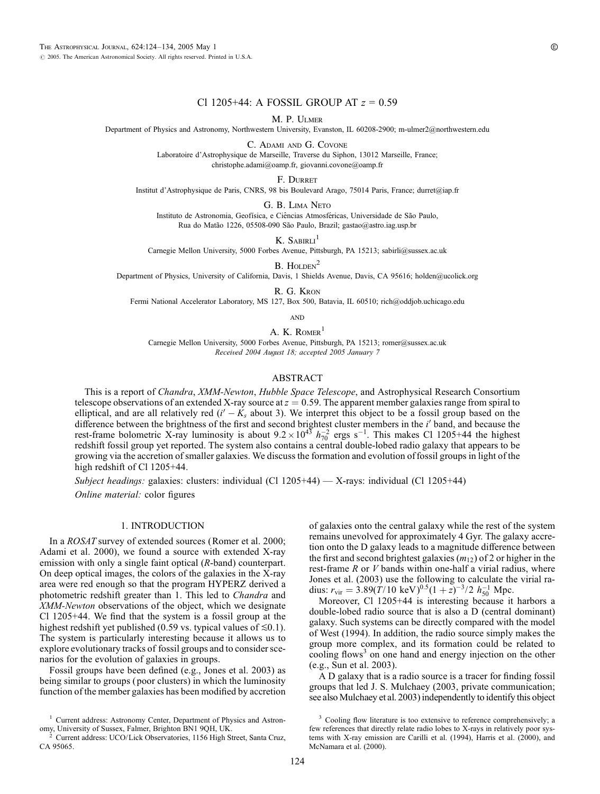#### Cl 1205+44: A FOSSIL GROUP AT *z* = 0.59

M. P. Ulmer

Department of Physics and Astronomy, Northwestern University, Evanston, IL 60208-2900; m-ulmer2@northwestern.edu

C. Adami and G. Covone

Laboratoire d'Astrophysique de Marseille, Traverse du Siphon, 13012 Marseille, France; christophe.adami@oamp.fr, giovanni.covone@oamp.fr

F. Durret

Institut d'Astrophysique de Paris, CNRS, 98 bis Boulevard Arago, 75014 Paris, France; durret@iap.fr

G. B. Lima Neto

Instituto de Astronomia, Geofísica, e Ciências Atmosféricas, Universidade de São Paulo, Rua do Matão 1226, 05508-090 São Paulo, Brazil; gastao@astro.iag.usp.br

K. SABIRLI $^1$ 

Carnegie Mellon University, 5000 Forbes Avenue, Pittsburgh, PA 15213; sabirli@sussex.ac.uk

B. HOLDEN<sup>2</sup>

Department of Physics, University of California, Davis, 1 Shields Avenue, Davis, CA 95616; holden@ucolick.org

R. G. Kron

Fermi National Accelerator Laboratory, MS 127, Box 500, Batavia, IL 60510; rich@oddjob.uchicago.edu

**AND** 

A. K. ROMER<sup>1</sup>

Carnegie Mellon University, 5000 Forbes Avenue, Pittsburgh, PA 15213; romer@sussex.ac.uk *Recei*v*ed 2004 Au*g*ust 18; accepted 2005 January 7*

#### ABSTRACT

This is a report of *Chandra*, *XMM-Newton*, *Hubble Space Telescope*, and Astrophysical Research Consortium telescope observations of an extended X-ray source at  $z = 0.59$ . The apparent member galaxies range from spiral to elliptical, and are all relatively red  $(i' - K_s$  about 3). We interpret this object to be a fossil group based on the difference between the brightness of the first and second brightest cluster members in the *i'* band, and because the rest-frame bolometric X-ray luminosity is about  $9.2 \times 10^{43} h_{70}^{-2}$  ergs s<sup>-1</sup>. This makes Cl 1205+44 the highest redshift fossil group yet reported. The system also contains a central double-lobed radio galaxy that appears to be growing via the accretion of smaller galaxies. We discuss the formation and evolution of fossil groups in light of the high redshift of Cl 1205+44.

*Subject headin*g*gs:* galaxies: clusters: individual (Cl 1205+44) — X-rays: individual (Cl 1205+44) *Online material: color figures* 

#### 1. INTRODUCTION

In a *ROSAT* survey of extended sources (Romer et al. 2000; Adami et al. 2000), we found a source with extended X-ray emission with only a single faint optical (*R*-band) counterpart. On deep optical images, the colors of the galaxies in the X-ray area were red enough so that the program HYPERZ derived a photometric redshift greater than 1. This led to *Chandra* and *XMM-Newton* observations of the object, which we designate Cl 1205+44. We find that the system is a fossil group at the highest redshift yet published (0.59 vs. typical values of  $\leq 0.1$ ). The system is particularly interesting because it allows us to explore evolutionary tracks of fossil groups and to consider scenarios for the evolution of galaxies in groups.

Fossil groups have been defined (e.g., Jones et al. 2003) as being similar to groups ( poor clusters) in which the luminosity function of the member galaxies has been modified by accretion of galaxies onto the central galaxy while the rest of the system remains unevolved for approximately 4 Gyr. The galaxy accretion onto the D galaxy leads to a magnitude difference between the first and second brightest galaxies (*m*12) of 2 or higher in the rest-frame *R* or *V* bands within one-half a virial radius, where Jones et al. (2003) use the following to calculate the virial radius:  $r_{\text{vir}} = 3.89(T/10 \text{ keV})^{0.5} (1+z)^{-3/2} h_{50}^{-1} \text{ Mpc}.$ 

Moreover, Cl 1205+44 is interesting because it harbors a double-lobed radio source that is also a D (central dominant) galaxy. Such systems can be directly compared with the model of West (1994). In addition, the radio source simply makes the group more complex, and its formation could be related to cooling flows<sup>3</sup> on one hand and energy injection on the other (e.g., Sun et al. 2003).

A D galaxy that is a radio source is a tracer for finding fossil groups that led J. S. Mulchaey (2003, private communication; see also Mulchaey et al. 2003) independently to identify this object

<sup>&</sup>lt;sup>1</sup> Current address: Astronomy Center, Department of Physics and Astronomy, University of Sussex, Falmer, Brighton BN1 9QH, UK.

<sup>2</sup> Current address: UCO/Lick Observatories, 1156 High Street, Santa Cruz, CA 95065.

<sup>&</sup>lt;sup>3</sup> Cooling flow literature is too extensive to reference comprehensively; a few references that directly relate radio lobes to X-rays in relatively poor systems with X-ray emission are Carilli et al. (1994), Harris et al. (2000), and McNamara et al. (2000).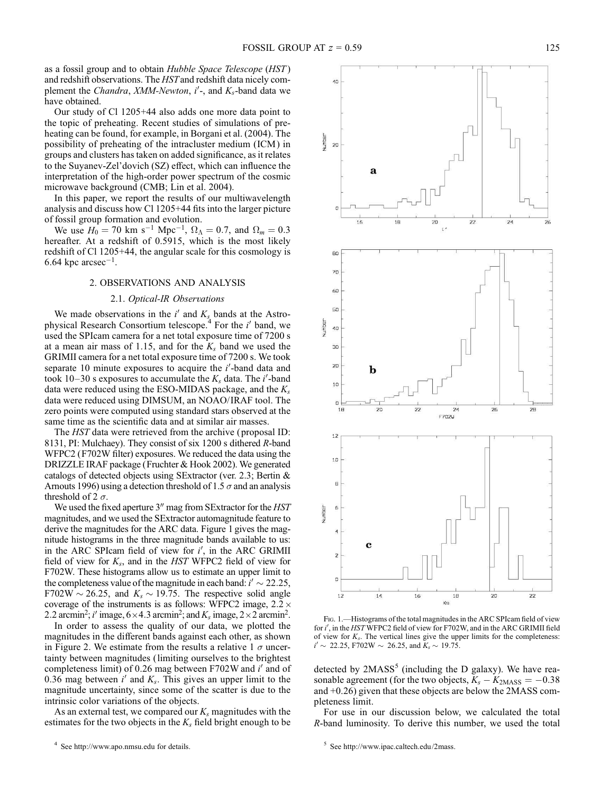as a fossil group and to obtain *Hubble Space Telescope* (*HST* ) and redshift observations. The *HST*and redshift data nicely complement the *Chandra*, *XMM-Newton*, *i'*-, and *K<sub>s</sub>*-band data we have obtained.

Our study of Cl 1205+44 also adds one more data point to the topic of preheating. Recent studies of simulations of preheating can be found, for example, in Borgani et al. (2004). The possibility of preheating of the intracluster medium (ICM) in groups and clusters has taken on added significance, as it relates to the Suyanev-Zel'dovich (SZ) effect, which can influence the interpretation of the high-order power spectrum of the cosmic microwave background (CMB; Lin et al. 2004).

In this paper, we report the results of our multiwavelength analysis and discuss how Cl 1205+44 fits into the larger picture of fossil group formation and evolution.

We use  $H_0 = 70$  km s<sup>-1</sup> Mpc<sup>-1</sup>,  $\Omega_{\Lambda} = 0.7$ , and  $\Omega_m = 0.3$ hereafter. At a redshift of 0.5915, which is the most likely redshift of Cl 1205+44, the angular scale for this cosmology is 6.64 kpc  $\arccos^{-1}$ .

#### 2. OBSERVATIONS AND ANALYSIS

#### 2.1. *Optical-IR Obser*v*ations*

We made observations in the  $i'$  and  $K_s$  bands at the Astrophysical Research Consortium telescope.<sup>4</sup> For the *i'* band, we used the SPIcam camera for a net total exposure time of 7200 s at a mean air mass of 1.15, and for the  $K_s$  band we used the GRIMII camera for a net total exposure time of 7200 s. We took separate 10 minute exposures to acquire the *i*'-band data and took  $10-30$  s exposures to accumulate the  $K_s$  data. The *i*'-band data were reduced using the ESO-MIDAS package, and the *K<sup>s</sup>* data were reduced using DIMSUM, an NOAO/ IRAF tool. The zero points were computed using standard stars observed at the same time as the scientific data and at similar air masses.

The *HST* data were retrieved from the archive (proposal ID: 8131, PI: Mulchaey). They consist of six 1200 s dithered *R*-band WFPC2 (F702W filter) exposures. We reduced the data using the DRIZZLE IRAF package (Fruchter & Hook 2002). We generated catalogs of detected objects using SExtractor (ver. 2.3; Bertin & Arnouts 1996) using a detection threshold of 1.5  $\sigma$  and an analysis threshold of 2  $\sigma$ .

We used the fixed aperture 3<sup>"</sup> mag from SExtractor for the *HST* magnitudes, and we used the SExtractor automagnitude feature to derive the magnitudes for the ARC data. Figure 1 gives the magnitude histograms in the three magnitude bands available to us: in the ARC SPIcam field of view for *i'*, in the ARC GRIMII field of view for *K<sup>s</sup>* , and in the *HST* WFPC2 field of view for F702W. These histograms allow us to estimate an upper limit to the completeness value of the magnitude in each band:  $i' \sim 22.25$ , F702W  $\sim$  26.25, and  $K_s \sim 19.75$ . The respective solid angle coverage of the instruments is as follows: WFPC2 image,  $2.2 \times$ 2.2 arcmin<sup>2</sup>; *i'* image,  $6 \times 4.3$  arcmin<sup>2</sup>; and  $K_s$  image,  $2 \times 2$  arcmin<sup>2</sup>.

In order to assess the quality of our data, we plotted the magnitudes in the different bands against each other, as shown in Figure 2. We estimate from the results a relative 1  $\sigma$  uncertainty between magnitudes (limiting ourselves to the brightest completeness limit) of 0.26 mag between F702W and *i'* and of 0.36 mag between  $i'$  and  $K_s$ . This gives an upper limit to the magnitude uncertainty, since some of the scatter is due to the intrinsic color variations of the objects.

As an external test, we compared our *K<sup>s</sup>* magnitudes with the estimates for the two objects in the  $K_s$  field bright enough to be



FIG. 1.—Histograms of the total magnitudes in the ARC SPIcam field of view for *i'*, in the *HST* WFPC2 field of view for F702W, and in the ARC GRIMII field of view for  $K_s$ . The vertical lines give the upper limits for the completeness:  $i' \sim 22.25$ , F702W  $\sim 26.25$ , and  $K_s \sim 19.75$ .

detected by  $2MASS<sup>5</sup>$  (including the D galaxy). We have reasonable agreement (for the two objects,  $K_s - K_{2MASS} = -0.38$ ) and +0.26) given that these objects are below the 2MASS completeness limit.

For use in our discussion below, we calculated the total *R*-band luminosity. To derive this number, we used the total

 $5$  See http://www.ipac.caltech.edu/2mass.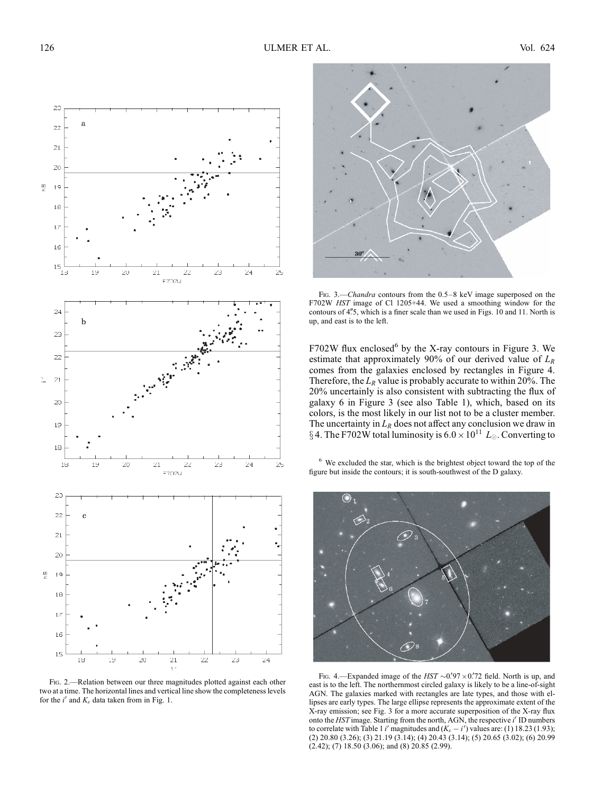

FIG. 2.—Relation between our three magnitudes plotted against each other two at a time. The horizontal lines and vertical line show the completeness levels for the  $i'$  and  $K_s$  data taken from in Fig. 1.



Fig. 3.—*Chandra* contours from the 0.5–8 keV image superposed on the F702W *HST* image of Cl 1205+44. We used a smoothing window for the contours of 4"5, which is a finer scale than we used in Figs. 10 and 11. North is up, and east is to the left.

 $F702W$  flux enclosed<sup>6</sup> by the X-ray contours in Figure 3. We estimate that approximately 90% of our derived value of *L<sup>R</sup>* comes from the galaxies enclosed by rectangles in Figure 4. Therefore, the  $L_R$  value is probably accurate to within 20%. The 20% uncertainly is also consistent with subtracting the flux of galaxy 6 in Figure 3 (see also Table 1), which, based on its colors, is the most likely in our list not to be a cluster member. The uncertainty in  $L_R$  does not affect any conclusion we draw in § 4. The F702W total luminosity is  $6.0 \times 10^{11} L_{\odot}$ . Converting to

<sup>6</sup> We excluded the star, which is the brightest object toward the top of the figure but inside the contours; it is south-southwest of the D galaxy.



FIG. 4.—Expanded image of the  $HST \sim 0.97 \times 0.72$  field. North is up, and east is to the left. The northernmost circled galaxy is likely to be a line-of-sight AGN. The galaxies marked with rectangles are late types, and those with ellipses are early types. The large ellipse represents the approximate extent of the X-ray emission; see Fig. 3 for a more accurate superposition of the X-ray flux onto the *HST* image. Starting from the north, AGN, the respective *i'* ID numbers to correlate with Table 1 *i*' magnitudes and  $(K_s - i')$  values are: (1) 18.23 (1.93); (2) 20.80 (3.26); (3) 21.19 (3.14); (4) 20.43 (3.14); (5) 20.65 (3.02); (6) 20.99 (2.42); (7) 18.50 (3.06); and (8) 20.85 (2.99).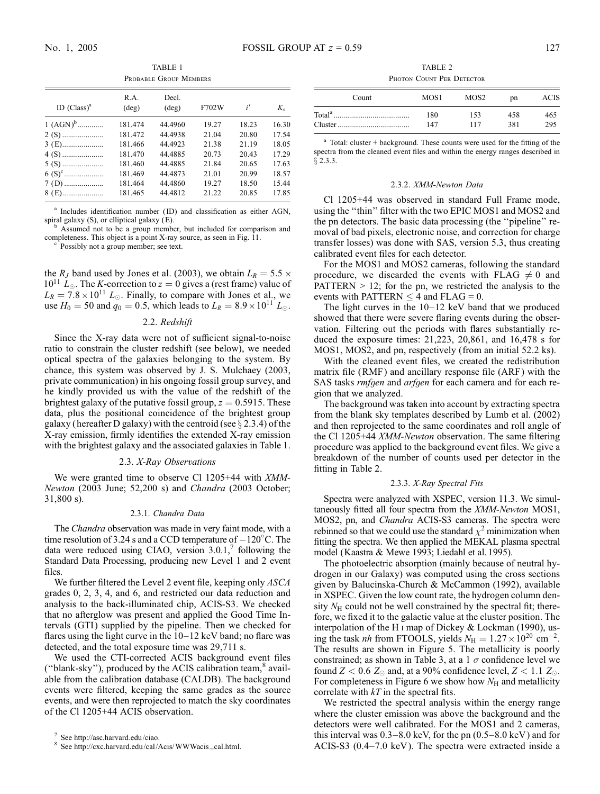TABLE 1 Probable Group Members

| ID $(Class)^a$ | R.A.<br>$(\text{deg})$ | Decl.<br>$(\text{deg})$ | F702W | i'    | $K_{s}$ |
|----------------|------------------------|-------------------------|-------|-------|---------|
| $1 (AGN)^{b}$  | 181.474                | 44.4960                 | 19.27 | 18.23 | 16.30   |
|                | 181.472                | 44.4938                 | 21.04 | 20.80 | 17.54   |
|                | 181.466                | 44.4923                 | 21.38 | 21.19 | 18.05   |
|                | 181.470                | 44.4885                 | 20.73 | 20.43 | 17.29   |
|                | 181.460                | 44.4885                 | 21.84 | 20.65 | 17.63   |
|                | 181.469                | 44.4873                 | 21.01 | 20.99 | 18.57   |
|                | 181.464                | 44.4860                 | 19.27 | 18.50 | 15.44   |
| 8 (E)          | 181.465                | 44.4812                 | 21.22 | 20.85 | 17.85   |

<sup>a</sup> Includes identification number (ID) and classification as either AGN, spiral galaxy (S), or elliptical galaxy (E).

Assumed not to be a group member, but included for comparison and completeness. This object is a point X-ray source, as seen in Fig. 11.

Possibly not a group member; see text.

the *R<sub>J</sub>* band used by Jones et al. (2003), we obtain  $L_R = 5.5 \times$  $10^{11}$   $L_{\odot}$ . The *K*-correction to  $z = 0$  gives a (rest frame) value of  $L_R = 7.8 \times 10^{11} L_{\odot}$ . Finally, to compare with Jones et al., we use  $H_0 = 50$  and  $q_0 = 0.5$ , which leads to  $L_R = 8.9 \times 10^{11} L_{\odot}$ .

#### 2.2. *Redshift*

Since the X-ray data were not of sufficient signal-to-noise ratio to constrain the cluster redshift (see below), we needed optical spectra of the galaxies belonging to the system. By chance, this system was observed by J. S. Mulchaey (2003, private communication) in his ongoing fossil group survey, and he kindly provided us with the value of the redshift of the brightest galaxy of the putative fossil group,  $z = 0.5915$ . These data, plus the positional coincidence of the brightest group galaxy (hereafter D galaxy) with the centroid (see  $\S 2.3.4$ ) of the X-ray emission, firmly identifies the extended X-ray emission with the brightest galaxy and the associated galaxies in Table 1.

#### 2.3. *X-Ray Obser*v*ations*

We were granted time to observe Cl 1205+44 with *XMM-Newton* (2003 June; 52,200 s) and *Chandra* (2003 October; 31,800 s).

#### 2.3.1. *Chandra Data*

The *Chandra* observation was made in very faint mode, with a time resolution of 3.24 s and a CCD temperature of  $-120^{\circ}$ C. The data were reduced using CIAO, version  $3.0.1$ ,<sup>7</sup> following the Standard Data Processing, producing new Level 1 and 2 event files.

We further filtered the Level 2 event file, keeping only *ASCA* grades 0, 2, 3, 4, and 6, and restricted our data reduction and analysis to the back-illuminated chip, ACIS-S3. We checked that no afterglow was present and applied the Good Time Intervals (GTI) supplied by the pipeline. Then we checked for flares using the light curve in the 10–12 keV band; no flare was detected, and the total exposure time was 29,711 s.

We used the CTI-corrected ACIS background event files ("blank-sky"), produced by the ACIS calibration team, <sup>8</sup> available from the calibration database (CALDB). The background events were filtered, keeping the same grades as the source events, and were then reprojected to match the sky coordinates of the Cl 1205+44 ACIS observation.

TABLE 2 PHOTON COUNT PER DETECTOR

| Count | MOS <sub>1</sub> | MOS <sub>2</sub> | pn  | ACIS |
|-------|------------------|------------------|-----|------|
|       | 180              | 153              | 458 | 465  |
|       | 147              | 117              | 381 | 295  |

<sup>a</sup> Total: cluster + background. These counts were used for the fitting of the spectra from the cleaned event files and within the energy ranges described in  $§$  2.3.3.

#### 2.3.2. *XMM-Newton Data*

Cl 1205+44 was observed in standard Full Frame mode, using the ''thin'' filter with the two EPIC MOS1 and MOS2 and the pn detectors. The basic data processing (the ''pipeline'' removal of bad pixels, electronic noise, and correction for charge transfer losses) was done with SAS, version 5.3, thus creating calibrated event files for each detector.

For the MOS1 and MOS2 cameras, following the standard procedure, we discarded the events with FLAG  $\neq$  0 and PATTERN  $> 12$ ; for the pn, we restricted the analysis to the events with PATTERN  $\leq$  4 and FLAG = 0.

The light curves in the  $10-12$  keV band that we produced showed that there were severe flaring events during the observation. Filtering out the periods with flares substantially reduced the exposure times: 21,223, 20,861, and 16,478 s for MOS1, MOS2, and pn, respectively (from an initial 52.2 ks).

With the cleaned event files, we created the redistribution matrix file (RMF) and ancillary response file (ARF) with the SAS tasks *rmf*g*en* and *arf*g*en* for each camera and for each region that we analyzed.

The background was taken into account by extracting spectra from the blank sky templates described by Lumb et al. (2002) and then reprojected to the same coordinates and roll angle of the Cl 1205+44 *XMM-Newton* observation. The same filtering procedure was applied to the background event files. We give a breakdown of the number of counts used per detector in the fitting in Table 2.

#### 2.3.3. *X-Ray Spectral Fits*

Spectra were analyzed with XSPEC, version 11.3. We simultaneously fitted all four spectra from the *XMM-Newton* MOS1, MOS2, pn, and *Chandra* ACIS-S3 cameras. The spectra were rebinned so that we could use the standard  $\chi^2$  minimization when fitting the spectra. We then applied the MEKAL plasma spectral model (Kaastra & Mewe 1993; Liedahl et al. 1995).

The photoelectric absorption (mainly because of neutral hydrogen in our Galaxy) was computed using the cross sections given by Balucinska-Church & McCammon (1992), available in XSPEC. Given the low count rate, the hydrogen column density  $N_{\rm H}$  could not be well constrained by the spectral fit; therefore, we fixed it to the galactic value at the cluster position. The interpolation of the H i map of Dickey & Lockman (1990), using the task *nh* from FTOOLS, yields  $N_{\text{H}} = 1.27 \times 10^{20} \text{ cm}^{-2}$ . The results are shown in Figure 5. The metallicity is poorly constrained; as shown in Table 3, at a 1  $\sigma$  confidence level we found  $Z < 0.6$   $Z_{\odot}$  and, at a 90% confidence level,  $Z < 1.1$   $Z_{\odot}$ . For completeness in Figure 6 we show how  $N_{\rm H}$  and metallicity correlate with *kT* in the spectral fits.

We restricted the spectral analysis within the energy range where the cluster emission was above the background and the detectors were well calibrated. For the MOS1 and 2 cameras, this interval was  $0.3-8.0$  keV, for the pn  $(0.5-8.0$  keV) and for ACIS-S3 (0.4–7.0 keV). The spectra were extracted inside a

<sup>7</sup> See http://asc.harvard.edu/ciao.

<sup>8</sup> See http://cxc.harvard.edu/cal/Acis/WWWacis\_cal.html.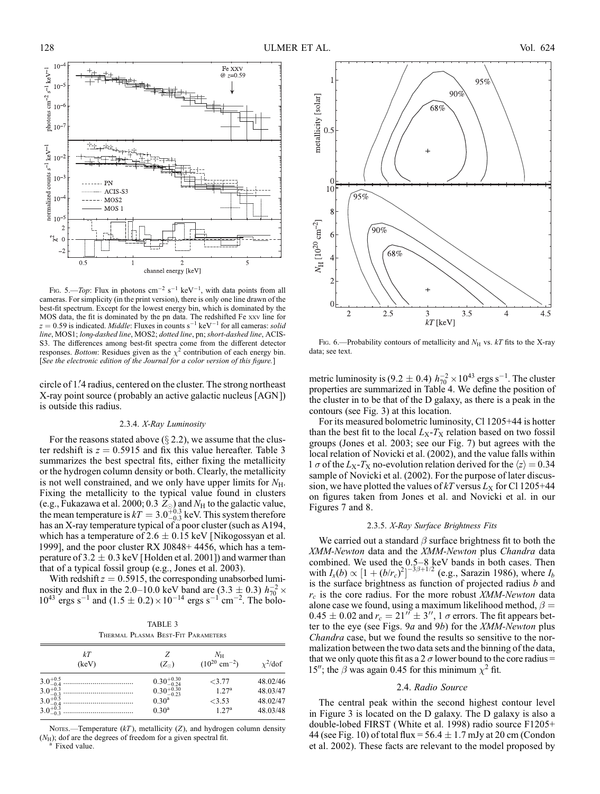

FIG. 5.—*Top*: Flux in photons  $cm^{-2} s^{-1} keV^{-1}$ , with data points from all cameras. For simplicity (in the print version), there is only one line drawn of the best-fit spectrum. Except for the lowest energy bin, which is dominated by the MOS data, the fit is dominated by the pn data. The redshifted Fe xxv line for  $z = 0.59$  is indicated. *Middle*: Fluxes in counts  $s^{-1}$  keV<sup>-1</sup> for all cameras: *solid line*, MOS1; *lon*g*-dashed line*, MOS2; *dotted line*, pn; *short-dashed line*, ACIS-S3. The differences among best-fit spectra come from the different detector responses. *Bottom*: Residues given as the  $\chi^2$  contribution of each energy bin. [*See the electronic edition of the Journal for a color* v*ersion of this fi*g*ure.*]

circle of 1.4 radius, centered on the cluster. The strong northeast X-ray point source (probably an active galactic nucleus [AGN ]) is outside this radius.

#### 2.3.4. *X-Ray Luminosity*

For the reasons stated above  $(\S 2.2)$ , we assume that the cluster redshift is  $z = 0.5915$  and fix this value hereafter. Table 3 summarizes the best spectral fits, either fixing the metallicity or the hydrogen column density or both. Clearly, the metallicity is not well constrained, and we only have upper limits for  $N_{\rm H}$ . Fixing the metallicity to the typical value found in clusters (e.g., Fukazawa et al. 2000; 0.3  $Z_{\odot}$ ) and  $N_{\rm H}$  to the galactic value, the mean temperature is  $kT = 3.0^{+0.3}_{-0.3}$  keV. This system therefore has an X-ray temperature typical of a poor cluster (such as A194, which has a temperature of  $2.6 \pm 0.15$  keV [Nikogossyan et al. 1999], and the poor cluster RX J0848+ 4456, which has a temperature of 3.2  $\pm$  0.3 keV [Holden et al. 2001]) and warmer than that of a typical fossil group (e.g., Jones et al. 2003).

With redshift  $z = 0.5915$ , the corresponding unabsorbed luminosity and flux in the 2.0–10.0 keV band are  $(3.3 \pm 0.3) h_{70}^{-2} \times$  $10^{43}$  ergs s<sup>-1</sup> and  $(1.5 \pm 0.2) \times 10^{-14}$  ergs s<sup>-1</sup> cm<sup>-2</sup>. The bolo-

| TABLE 3 |  |  |                                    |  |
|---------|--|--|------------------------------------|--|
|         |  |  | Thermal Plasma Best-Fit Parameters |  |

| kT<br>(keV) | $(Z_{\odot})$          | $N_{\rm H}$<br>$(10^{20}$ cm <sup>-2</sup> ) | $\chi^2$ /dof |
|-------------|------------------------|----------------------------------------------|---------------|
|             | $0.30_{-0.24}^{+0.30}$ | <3.77                                        | 48.02/46      |
|             | $0.30_{-0.23}^{+0.30}$ | 1.27 <sup>a</sup>                            | 48.03/47      |
|             | $0.30^{\rm a}$         | $<$ 3.53                                     | 48.02/47      |
|             | $0.30^{\rm a}$         | 1.27 <sup>a</sup>                            | 48.03/48      |

Nores.—Temperature  $(kT)$ , metallicity  $(Z)$ , and hydrogen column density  $(N_{\rm H})$ ; dof are the degrees of freedom for a given spectral fit. Fixed value.



Fig. 6.—Probability contours of metallicity and  $N_H$  vs.  $kT$  fits to the X-ray data; see text.

metric luminosity is (9.2  $\pm$  0.4)  $h_{70}^{-2} \times 10^{43}$  ergs s<sup>-1</sup>. The cluster properties are summarized in Table 4. We define the position of the cluster in to be that of the D galaxy, as there is a peak in the contours (see Fig. 3) at this location.

For its measured bolometric luminosity, Cl 1205+44 is hotter than the best fit to the local  $L_X-T_X$  relation based on two fossil groups (Jones et al. 2003; see our Fig. 7) but agrees with the local relation of Novicki et al. (2002), and the value falls within 1  $\sigma$  of the *L*<sub>X</sub>-*T*<sub>X</sub> no-evolution relation derived for the  $\langle z \rangle = 0.34$ sample of Novicki et al. (2002). For the purpose of later discussion, we have plotted the values of  $kT$  versus  $L_X$  for Cl 1205+44 on figures taken from Jones et al. and Novicki et al. in our Figures 7 and 8.

#### 2.3.5. *X-Ray Surface Bri*g*htness Fits*

We carried out a standard  $\beta$  surface brightness fit to both the *XMM-Newton* data and the *XMM-Newton* plus *Chandra* data combined. We used the  $0.5-8$  keV bands in both cases. Then with  $I_x(b) \propto [1 + (b/r_c)^2]^{-3\beta + 1/2}$  (e.g., Sarazin 1986), where  $I_b$ is the surface brightness as function of projected radius *b* and *rc* is the core radius. For the more robust *XMM-Newton* data alone case we found, using a maximum likelihood method,  $\beta =$  $0.45 \pm 0.02$  and  $r_c = 21^{17} \pm 3^{17}$ , 1  $\sigma$  errors. The fit appears better to the eye (see Figs. 9*a* and 9*b*) for the *XMM-Newton* plus *Chandra* case, but we found the results so sensitive to the normalization between the two data sets and the binning of the data, that we only quote this fit as a 2  $\sigma$  lower bound to the core radius = 15"; the  $\beta$  was again 0.45 for this minimum  $\chi^2$  fit.

#### 2.4. *Radio Source*

The central peak within the second highest contour level in Figure 3 is located on the D galaxy. The D galaxy is also a double-lobed FIRST (White et al. 1998) radio source F1205+ 44 (see Fig. 10) of total flux =  $56.4 \pm 1.7$  mJy at 20 cm (Condon et al. 2002). These facts are relevant to the model proposed by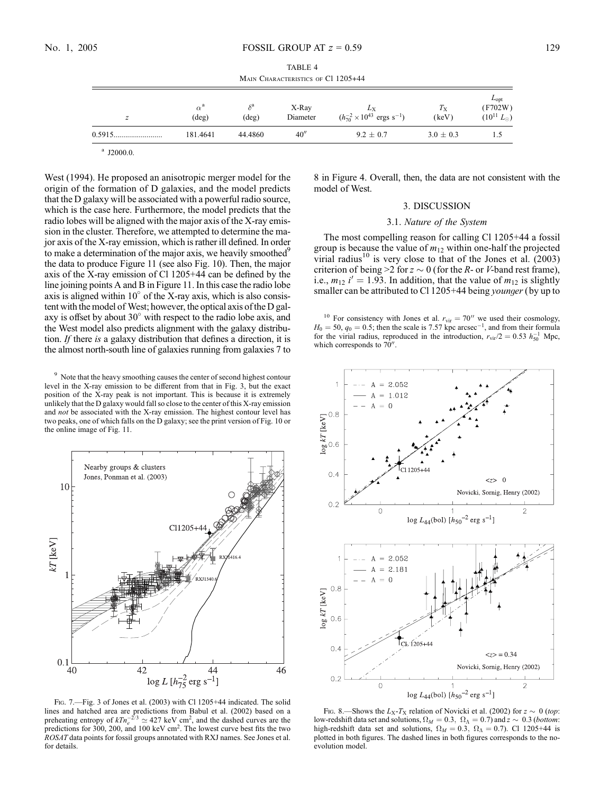| TABLE 4                            |  |  |  |
|------------------------------------|--|--|--|
| MAIN CHARACTERISTICS OF C1 1205+44 |  |  |  |

| z | $\alpha^a$<br>$(\text{deg})$ | $(\text{deg})$ | X-Ray<br>Diameter | Lx<br>$(h_{70}^{-2} \times 10^{43} \text{ ergs s}^{-1})$ | $T_{\rm X}$<br>(keV) | $L_{opt}$<br>(F702W)<br>$(10^{11} L_{\odot})$ |
|---|------------------------------|----------------|-------------------|----------------------------------------------------------|----------------------|-----------------------------------------------|
|   | 181.4641                     | 44.4860        | 40''              | $9.2 \pm 0.7$                                            | $3.0 \pm 0.3$        | L.5                                           |

 $^{a}$  J2000.0.

West (1994). He proposed an anisotropic merger model for the origin of the formation of D galaxies, and the model predicts that the D galaxy will be associated with a powerful radio source, which is the case here. Furthermore, the model predicts that the radio lobes will be aligned with the major axis of the X-ray emission in the cluster. Therefore, we attempted to determine the major axis of the X-ray emission, which is rather ill defined. In order to make a determination of the major axis, we heavily smoothed<sup>9</sup> the data to produce Figure 11 (see also Fig. 10). Then, the major axis of the X-ray emission of Cl 1205+44 can be defined by the line joining points A and B in Figure 11. In this case the radio lobe axis is aligned within  $10^{\circ}$  of the X-ray axis, which is also consistent with the model of West; however, the optical axis of the D galaxy is offset by about  $30^{\circ}$  with respect to the radio lobe axis, and the West model also predicts alignment with the galaxy distribution. *If* there *is* a galaxy distribution that defines a direction, it is the almost north-south line of galaxies running from galaxies 7 to

<sup>9</sup> Note that the heavy smoothing causes the center of second highest contour level in the X-ray emission to be different from that in Fig. 3, but the exact position of the X-ray peak is not important. This is because it is extremely unlikely that the D galaxy would fall so close to the center of this X-ray emission and *not* be associated with the X-ray emission. The highest contour level has two peaks, one of which falls on the D galaxy; see the print version of Fig. 10 or the online image of Fig. 11.



Fig. 7.—Fig. 3 of Jones et al. (2003) with Cl 1205+44 indicated. The solid lines and hatched area are predictions from Babul et al. (2002) based on a preheating entropy of  $kTn_e^{-2/3} \simeq 427 \text{ keV cm}^2$ , and the dashed curves are the predictions for 300, 200, and 100 keV  $\text{cm}^2$ . The lowest curve best fits the two *ROSAT* data points for fossil groups annotated with RXJ names. See Jones et al. for details.

8 in Figure 4. Overall, then, the data are not consistent with the model of West.

#### 3. DISCUSSION

#### 3.1. *Nature of the System*

The most compelling reason for calling Cl 1205+44 a fossil group is because the value of  $m<sub>12</sub>$  within one-half the projected virial radius<sup>10</sup> is very close to that of the Jones et al.  $(2003)$ criterion of being  $>2$  for  $z \sim 0$  (for the *R*- or *V*-band rest frame), i.e.,  $m_{12}$  *i*' = 1.93. In addition, that the value of  $m_{12}$  is slightly smaller can be attributed to Cl 1205+44 being *youn*g*er*(by up to

<sup>10</sup> For consistency with Jones et al.  $r_{\text{vir}} = 70$ <sup>"</sup> we used their cosmology,  $H_0 = 50$ ,  $q_0 = 0.5$ ; then the scale is 7.57 kpc arcsec<sup>-1</sup>, and from their formula for the virial radius, reproduced in the introduction,  $r_{\text{vir}}/2 = 0.53$   $h_{50}^{-1}$  Mpc, which corresponds to  $70^{\prime\prime}$ .



Fig. 8.—Shows the  $L_X-T_X$  relation of Novicki et al. (2002) for  $z \sim 0$  (top: low-redshift data set and solutions,  $\Omega_M = 0.3$ ,  $\Omega_{\Lambda} = 0.7$ ) and  $z \sim 0.3$  (*bottom*: high-redshift data set and solutions,  $\Omega_M = 0.3$ ,  $\Omega_{\Lambda} = 0.7$ ). Cl 1205+44 is plotted in both figures. The dashed lines in both figures corresponds to the noevolution model.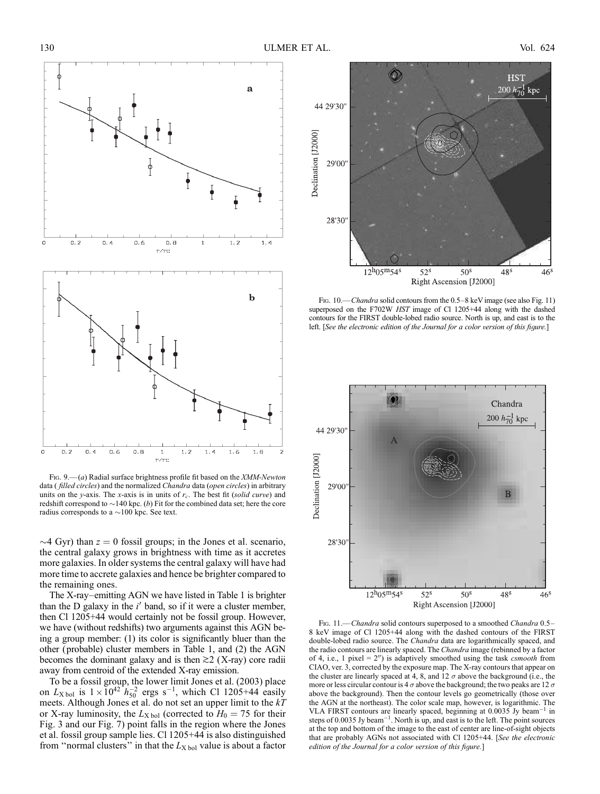

Fig. 9.— (*a*) Radial surface brightness profile fit based on the *XMM-Newton* data ( *filled circles*) and the normalized *Chandra* data (*open circles*) in arbitrary units on the *y*-axis. The *x*-axis is in units of *rc*. The best fit (*solid cur*v*e*) and redshift correspond to  $\sim$ 140 kpc. (*b*) Fit for the combined data set; here the core radius corresponds to a  $\sim$ 100 kpc. See text.

 $\sim$ 4 Gyr) than  $z = 0$  fossil groups; in the Jones et al. scenario, the central galaxy grows in brightness with time as it accretes more galaxies. In older systems the central galaxy will have had more time to accrete galaxies and hence be brighter compared to the remaining ones.

The X-ray–emitting AGN we have listed in Table 1 is brighter than the  $D$  galaxy in the  $i'$  band, so if it were a cluster member, then Cl 1205+44 would certainly not be fossil group. However, we have (without redshifts) two arguments against this AGN being a group member: (1) its color is significantly bluer than the other (probable) cluster members in Table 1, and (2) the AGN becomes the dominant galaxy and is then  $\gtrsim$  2 (X-ray) core radii away from centroid of the extended X-ray emission.

To be a fossil group, the lower limit Jones et al. (2003) place on  $L_{\text{X bol}}$  is  $1 \times 10^{42} h_{50}^{-2}$  ergs s<sup>-1</sup>, which Cl 1205+44 easily meets. Although Jones et al. do not set an upper limit to the *kT* or X-ray luminosity, the  $L_{\text{X bol}}$  (corrected to  $H_0 = 75$  for their Fig. 3 and our Fig. 7) point falls in the region where the Jones et al. fossil group sample lies. Cl 1205+44 is also distinguished from "normal clusters" in that the  $L_{\text{X bol}}$  value is about a factor



Fig. 10.—*Chandra* solid contours from the 0.5–8 keV image (see also Fig. 11) superposed on the F702W *HST* image of Cl 1205+44 along with the dashed contours for the FIRST double-lobed radio source. North is up, and east is to the left. [*See the electronic edition of the Journal for a color* v*ersion of this fi*g*ure.*]



Fig. 11.—*Chandra* solid contours superposed to a smoothed *Chandra* 0.5– 8 keV image of Cl 1205+44 along with the dashed contours of the FIRST double-lobed radio source. The *Chandra* data are logarithmically spaced, and the radio contours are linearly spaced. The *Chandra* image (rebinned by a factor of 4, i.e., 1 pixel  $= 2<sup>n</sup>$ ) is adaptively smoothed using the task *csmooth* from CIAO, ver. 3, corrected by the exposure map. The X-ray contours that appear on the cluster are linearly spaced at 4, 8, and 12  $\sigma$  above the background (i.e., the more or less circular contour is 4  $\sigma$  above the background; the two peaks are 12  $\sigma$ above the background). Then the contour levels go geometrically (those over the AGN at the northeast). The color scale map, however, is logarithmic. The VLA FIRST contours are linearly spaced, beginning at  $0.0035$  Jy beam<sup>-1</sup> in steps of 0.0035 Jy beam<sup>-1</sup>. North is up, and east is to the left. The point sources at the top and bottom of the image to the east of center are line-of-sight objects that are probably AGNs not associated with Cl 1205+44. [*See the electronic edition of the Journal for a color* v*ersion of this fi*g*ure.*]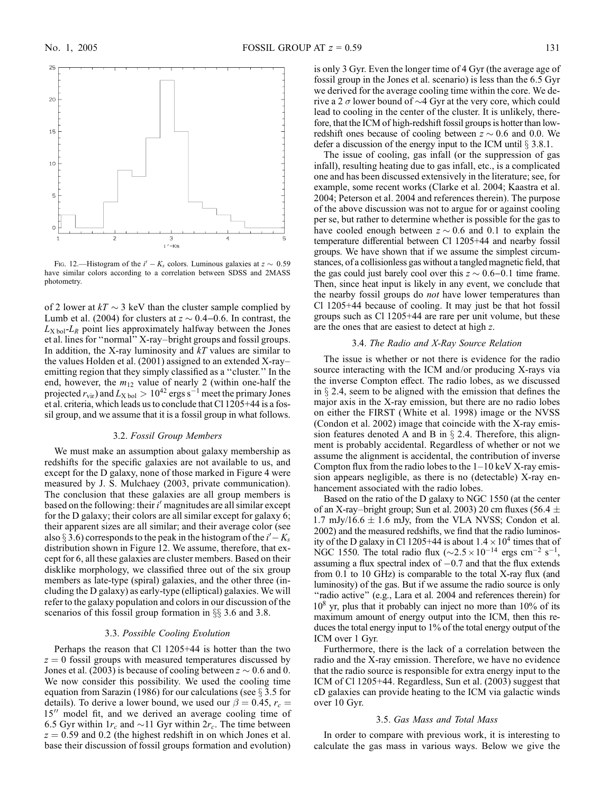

Fig. 12.—Histogram of the  $i' - K_s$  colors. Luminous galaxies at  $z \sim 0.59$ have similar colors according to a correlation between SDSS and 2MASS photometry.

of 2 lower at  $kT \sim 3$  keV than the cluster sample complied by Lumb et al. (2004) for clusters at  $z \sim 0.4-0.6$ . In contrast, the  $L_{\text{X bol}}$ - $L_{\text{R}}$  point lies approximately halfway between the Jones et al. lines for ''normal'' X-ray–bright groups and fossil groups. In addition, the X-ray luminosity and *kT* values are similar to the values Holden et al. (2001) assigned to an extended X-ray– emitting region that they simply classified as a ''cluster.'' In the end, however, the  $m_{12}$  value of nearly 2 (within one-half the projected  $r_{\text{vir}}$ ) and  $L_{\text{X bol}} > 10^{42}$  ergs s<sup>-1</sup> meet the primary Jones et al. criteria, which leads us to conclude that Cl 1205+44 is a fossil group, and we assume that it is a fossil group in what follows.

#### 3.2. *Fossil Group Members*

We must make an assumption about galaxy membership as redshifts for the specific galaxies are not available to us, and except for the D galaxy, none of those marked in Figure 4 were measured by J. S. Mulchaey (2003, private communication). The conclusion that these galaxies are all group members is based on the following: their *i'* magnitudes are all similar except for the D galaxy; their colors are all similar except for galaxy 6; their apparent sizes are all similar; and their average color (see also § 3.6) corresponds to the peak in the histogram of the  $i' - K_s$ distribution shown in Figure 12. We assume, therefore, that except for 6, all these galaxies are cluster members. Based on their disklike morphology, we classified three out of the six group members as late-type (spiral) galaxies, and the other three (including the D galaxy) as early-type (elliptical) galaxies. We will refer to the galaxy population and colors in our discussion of the scenarios of this fossil group formation in  $\S$  3.6 and 3.8.

#### 3.3. *Possible Coolin*g *E*v*olution*

Perhaps the reason that Cl 1205+44 is hotter than the two  $z = 0$  fossil groups with measured temperatures discussed by Jones et al. (2003) is because of cooling between  $z \sim 0.6$  and 0. We now consider this possibility. We used the cooling time equation from Sarazin (1986) for our calculations (see  $\S 3.5$  for details). To derive a lower bound, we used our  $\beta = 0.45$ ,  $r_c =$ 15" model fit, and we derived an average cooling time of 6.5 Gyr within  $1r_c$  and  $\sim$  11 Gyr within  $2r_c$ . The time between  $z = 0.59$  and 0.2 (the highest redshift in on which Jones et al. base their discussion of fossil groups formation and evolution) is only 3 Gyr. Even the longer time of 4 Gyr (the average age of fossil group in the Jones et al. scenario) is less than the 6.5 Gyr we derived for the average cooling time within the core. We derive a 2  $\sigma$  lower bound of  $\sim$ 4 Gyr at the very core, which could lead to cooling in the center of the cluster. It is unlikely, therefore, that the ICM of high-redshift fossil groups is hotter than lowredshift ones because of cooling between  $z \sim 0.6$  and 0.0. We defer a discussion of the energy input to the ICM until  $\S$  3.8.1.

The issue of cooling, gas infall (or the suppression of gas infall), resulting heating due to gas infall, etc., is a complicated one and has been discussed extensively in the literature; see, for example, some recent works (Clarke et al. 2004; Kaastra et al. 2004; Peterson et al. 2004 and references therein). The purpose of the above discussion was not to argue for or against cooling per se, but rather to determine whether is possible for the gas to have cooled enough between  $z \sim 0.6$  and 0.1 to explain the temperature differential between Cl 1205+44 and nearby fossil groups. We have shown that if we assume the simplest circumstances, of a collisionless gas without a tangled magnetic field, that the gas could just barely cool over this  $z \sim 0.6 - 0.1$  time frame. Then, since heat input is likely in any event, we conclude that the nearby fossil groups do *not* have lower temperatures than Cl 1205+44 because of cooling. It may just be that hot fossil groups such as Cl 1205+44 are rare per unit volume, but these are the ones that are easiest to detect at high *z*.

#### 3.4. *The Radio and X-Ray Source Relation*

The issue is whether or not there is evidence for the radio source interacting with the ICM and/or producing X-rays via the inverse Compton effect. The radio lobes, as we discussed in  $\S$  2.4, seem to be aligned with the emission that defines the major axis in the X-ray emission, but there are no radio lobes on either the FIRST (White et al. 1998) image or the NVSS (Condon et al. 2002) image that coincide with the X-ray emission features denoted A and B in  $\S$  2.4. Therefore, this alignment is probably accidental. Regardless of whether or not we assume the alignment is accidental, the contribution of inverse Compton flux from the radio lobes to the  $1-10 \text{ keV X-ray emission}$ sion appears negligible, as there is no (detectable) X-ray enhancement associated with the radio lobes.

Based on the ratio of the D galaxy to NGC 1550 (at the center of an X-ray–bright group; Sun et al. 2003) 20 cm fluxes (56.4  $\pm$ 1.7 mJy/16.6  $\pm$  1.6 mJy, from the VLA NVSS; Condon et al. 2002) and the measured redshifts, we find that the radio luminosity of the D galaxy in Cl 1205+44 is about  $1.4 \times 10^4$  times that of NGC 1550. The total radio flux  $(\sim 2.5 \times 10^{-14} \text{ ergs cm}^{-2} \text{ s}^{-1},$ assuming a flux spectral index of  $-0.7$  and that the flux extends from 0.1 to 10 GHz) is comparable to the total X-ray flux (and luminosity) of the gas. But if we assume the radio source is only "radio active" (e.g., Lara et al. 2004 and references therein) for  $10^8$  yr, plus that it probably can inject no more than  $10\%$  of its maximum amount of energy output into the ICM, then this reduces the total energy input to 1% of the total energy output of the ICM over 1 Gyr.

Furthermore, there is the lack of a correlation between the radio and the X-ray emission. Therefore, we have no evidence that the radio source is responsible for extra energy input to the ICM of Cl 1205+44. Regardless, Sun et al. (2003) suggest that cD galaxies can provide heating to the ICM via galactic winds over 10 Gyr.

#### 3.5. *Gas Mass and Total Mass*

In order to compare with previous work, it is interesting to calculate the gas mass in various ways. Below we give the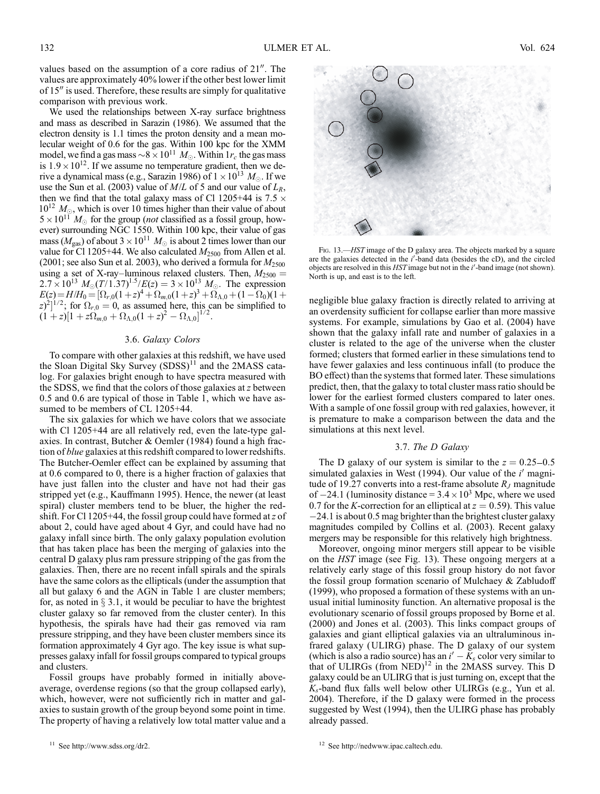values based on the assumption of a core radius of  $21<sup>′</sup>$ . The values are approximately 40% lower if the other best lower limit of  $15$ <sup> $\prime\prime$ </sup> is used. Therefore, these results are simply for qualitative comparison with previous work.

We used the relationships between X-ray surface brightness and mass as described in Sarazin (1986). We assumed that the electron density is 1.1 times the proton density and a mean molecular weight of 0.6 for the gas. Within 100 kpc for the XMM model, we find a gas mass  $\sim 8 \times 10^{11} M_{\odot}$ . Within 1*r<sub>c</sub>* the gas mass is  $1.9 \times 10^{12}$ . If we assume no temperature gradient, then we derive a dynamical mass (e.g., Sarazin 1986) of  $1 \times 10^{13}$   $M_{\odot}$ . If we use the Sun et al. (2003) value of *M*/*L* of 5 and our value of *LR*, then we find that the total galaxy mass of Cl 1205+44 is 7.5  $\times$  $10^{12}$   $M_{\odot}$ , which is over 10 times higher than their value of about  $5 \times 10^{11}$   $M_{\odot}$  for the group (*not* classified as a fossil group, however) surrounding NGC 1550. Within 100 kpc, their value of gas mass ( $M_{\text{gas}}$ ) of about  $3 \times 10^{11} M_{\odot}$  is about 2 times lower than our value for Cl 1205+44. We also calculated  $M_{2500}$  from Allen et al. (2001; see also Sun et al. 2003), who derived a formula for  $M_{2500}$ using a set of X-ray–luminous relaxed clusters. Then,  $M_{2500}$  =  $2.7 \times 10^{13} M_{\odot} (T/1.37)^{1.5} / E(z) = 3 \times 10^{13} M_{\odot}$ . The expression  $E(z) = H/H_0 = [\Omega_{r,0}(1+z)^4 + \Omega_{m,0}(1+z)^3 + \Omega_{\Lambda,0} + (1-\Omega_0)(1+z)^5]$  $(z)^2$ <sup> $(1/2)$ </sup>; for  $\Omega_{r,0} = 0$ , as assumed here, this can be simplified to  $(1+z)[1+z\Omega_{m,0}+\Omega_{\Lambda,0}(1+z)^2-\Omega_{\Lambda,0}]^{1/2}.$ 

#### 3.6. *Galaxy Colors*

To compare with other galaxies at this redshift, we have used the Sloan Digital Sky Survey  $(SDSS)^{11}$  and the 2MASS catalog. For galaxies bright enough to have spectra measured with the SDSS, we find that the colors of those galaxies at *z* between 0.5 and 0.6 are typical of those in Table 1, which we have assumed to be members of CL 1205+44.

The six galaxies for which we have colors that we associate with Cl 1205+44 are all relatively red, even the late-type galaxies. In contrast, Butcher & Oemler (1984) found a high fraction of *blue* galaxies at this redshift compared to lower redshifts. The Butcher-Oemler effect can be explained by assuming that at 0.6 compared to 0, there is a higher fraction of galaxies that have just fallen into the cluster and have not had their gas stripped yet (e.g., Kauffmann 1995). Hence, the newer (at least spiral) cluster members tend to be bluer, the higher the redshift. For Cl 1205+44, the fossil group could have formed at*z* of about 2, could have aged about 4 Gyr, and could have had no galaxy infall since birth. The only galaxy population evolution that has taken place has been the merging of galaxies into the central D galaxy plus ram pressure stripping of the gas from the galaxies. Then, there are no recent infall spirals and the spirals have the same colors as the ellipticals (under the assumption that all but galaxy 6 and the AGN in Table 1 are cluster members; for, as noted in  $\S 3.1$ , it would be peculiar to have the brightest cluster galaxy so far removed from the cluster center). In this hypothesis, the spirals have had their gas removed via ram pressure stripping, and they have been cluster members since its formation approximately 4 Gyr ago. The key issue is what suppresses galaxy infall for fossil groups compared to typical groups and clusters.

Fossil groups have probably formed in initially aboveaverage, overdense regions (so that the group collapsed early), which, however, were not sufficiently rich in matter and galaxies to sustain growth of the group beyond some point in time. The property of having a relatively low total matter value and a



FIG. 13.—*HST* image of the D galaxy area. The objects marked by a square are the galaxies detected in the *i'*-band data (besides the cD), and the circled objects are resolved in this *HST* image but not in the *i*'-band image (not shown). North is up, and east is to the left.

negligible blue galaxy fraction is directly related to arriving at an overdensity sufficient for collapse earlier than more massive systems. For example, simulations by Gao et al. (2004) have shown that the galaxy infall rate and number of galaxies in a cluster is related to the age of the universe when the cluster formed; clusters that formed earlier in these simulations tend to have fewer galaxies and less continuous infall (to produce the BO effect) than the systems that formed later. These simulations predict, then, that the galaxy to total cluster mass ratio should be lower for the earliest formed clusters compared to later ones. With a sample of one fossil group with red galaxies, however, it is premature to make a comparison between the data and the simulations at this next level.

#### 3.7. *The D Galaxy*

The D galaxy of our system is similar to the  $z = 0.25 - 0.5$ simulated galaxies in West (1994). Our value of the *i'* magnitude of 19.27 converts into a rest-frame absolute *R<sup>J</sup>* magnitude of  $-24.1$  (luminosity distance  $= 3.4 \times 10^3$  Mpc, where we used 0.7 for the *K*-correction for an elliptical at  $z = 0.59$ ). This value  $-24.1$  is about 0.5 mag brighter than the brightest cluster galaxy magnitudes compiled by Collins et al. (2003). Recent galaxy mergers may be responsible for this relatively high brightness.

Moreover, ongoing minor mergers still appear to be visible on the *HST* image (see Fig. 13). These ongoing mergers at a relatively early stage of this fossil group history do not favor the fossil group formation scenario of Mulchaey & Zabludoff (1999), who proposed a formation of these systems with an unusual initial luminosity function. An alternative proposal is the evolutionary scenario of fossil groups proposed by Borne et al. (2000) and Jones et al. (2003). This links compact groups of galaxies and giant elliptical galaxies via an ultraluminous infrared galaxy (ULIRG) phase. The D galaxy of our system (which is also a radio source) has an  $i' - K_s$  color very similar to that of ULIRGs (from  $NED$ )<sup>12</sup> in the 2MASS survey. This D galaxy could be an ULIRG that is just turning on, except that the *Ks*-band flux falls well below other ULIRGs (e.g., Yun et al. 2004). Therefore, if the D galaxy were formed in the process suggested by West (1994), then the ULIRG phase has probably already passed.

<sup>12</sup> See http://nedwww.ipac.caltech.edu.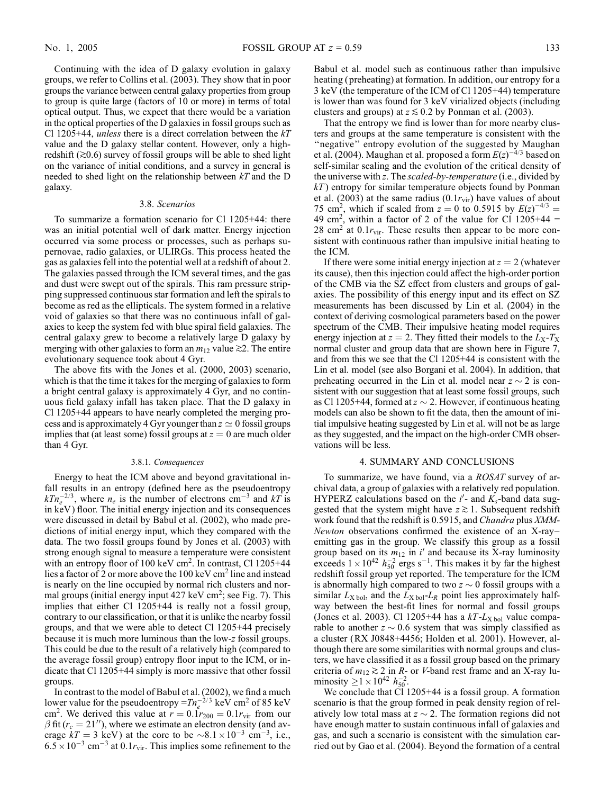Continuing with the idea of D galaxy evolution in galaxy groups, we refer to Collins et al. (2003). They show that in poor groups the variance between central galaxy properties from group to group is quite large (factors of 10 or more) in terms of total optical output. Thus, we expect that there would be a variation in the optical properties of the D galaxies in fossil groups such as Cl 1205+44, *unless* there is a direct correlation between the *kT* value and the D galaxy stellar content. However, only a highredshift  $(\geq 0.6)$  survey of fossil groups will be able to shed light on the variance of initial conditions, and a survey in general is needed to shed light on the relationship between *kT* and the D galaxy.

#### 3.8. *Scenarios*

To summarize a formation scenario for Cl 1205+44: there was an initial potential well of dark matter. Energy injection occurred via some process or processes, such as perhaps supernovae, radio galaxies, or ULIRGs. This process heated the gas as galaxies fell into the potential well at a redshift of about 2. The galaxies passed through the ICM several times, and the gas and dust were swept out of the spirals. This ram pressure stripping suppressed continuous star formation and left the spirals to become as red as the ellipticals. The system formed in a relative void of galaxies so that there was no continuous infall of galaxies to keep the system fed with blue spiral field galaxies. The central galaxy grew to become a relatively large D galaxy by merging with other galaxies to form an  $m_{12}$  value  $\gtrsim$ 2. The entire evolutionary sequence took about 4 Gyr.

The above fits with the Jones et al. (2000, 2003) scenario, which is that the time it takes for the merging of galaxies to form a bright central galaxy is approximately 4 Gyr, and no continuous field galaxy infall has taken place. That the D galaxy in Cl 1205+44 appears to have nearly completed the merging process and is approximately 4 Gyr younger than  $z \approx 0$  fossil groups implies that (at least some) fossil groups at  $z = 0$  are much older than 4 Gyr.

#### 3.8.1. *Consequences*

Energy to heat the ICM above and beyond gravitational infall results in an entropy (defined here as the pseudoentropy  $kTn_e^{-2/3}$ , where  $n_e$  is the number of electrons cm<sup>-3</sup> and  $kT$  is in keV ) floor. The initial energy injection and its consequences were discussed in detail by Babul et al. (2002), who made predictions of initial energy input, which they compared with the data. The two fossil groups found by Jones et al. (2003) with strong enough signal to measure a temperature were consistent with an entropy floor of 100 keV cm<sup>2</sup>. In contrast, Cl 1205+44 lies a factor of 2 or more above the 100 keV cm<sup>2</sup> line and instead is nearly on the line occupied by normal rich clusters and normal groups (initial energy input 427 keV cm<sup>2</sup>; see Fig. 7). This implies that either Cl 1205+44 is really not a fossil group, contrary to our classification, or that it is unlike the nearby fossil groups, and that we were able to detect Cl 1205+44 precisely because it is much more luminous than the low-*z* fossil groups. This could be due to the result of a relatively high (compared to the average fossil group) entropy floor input to the ICM, or indicate that Cl 1205+44 simply is more massive that other fossil groups.

In contrast to the model of Babul et al. (2002), we find a much lower value for the pseudoentropy  $= T n_e^{-2/3}$  keV cm<sup>2</sup> of 85 keV cm<sup>2</sup>. We derived this value at  $\vec{r} = 0.1r_{200} = 0.1r_{\text{vir}}$  from our  $\beta$  fit ( $r_c = 21$ "), where we estimate an electron density (and average  $kT = 3$  keV) at the core to be  $\sim 8.1 \times 10^{-3}$  cm<sup>-3</sup>, i.e.,  $6.5 \times 10^{-3}$  cm<sup>-3</sup> at  $0.1r_{\text{vir}}$ . This implies some refinement to the

Babul et al. model such as continuous rather than impulsive heating ( preheating) at formation. In addition, our entropy for a 3 keV (the temperature of the ICM of Cl 1205+44) temperature is lower than was found for 3 keV virialized objects (including clusters and groups) at  $z \le 0.2$  by Ponman et al. (2003).

That the entropy we find is lower than for more nearby clusters and groups at the same temperature is consistent with the "negative" entropy evolution of the suggested by Maughan et al. (2004). Maughan et al. proposed a form  $E(z)^{-4/3}$  based on self-similar scaling and the evolution of the critical density of the universe with *z*. The *scaled-by-temperature* (i.e., divided by *kT* ) entropy for similar temperature objects found by Ponman et al. (2003) at the same radius  $(0.1r_{\text{vir}})$  have values of about 75 cm<sup>2</sup>, which if scaled from  $z = 0$  to 0.5915 by  $E(z)^{-4/3} =$ 49 cm<sup>2</sup>, within a factor of 2 of the value for Cl  $1205+44$  =  $28 \text{ cm}^2$  at  $0.1r_{\text{vir}}$ . These results then appear to be more consistent with continuous rather than impulsive initial heating to the ICM.

If there were some initial energy injection at  $z = 2$  (whatever its cause), then this injection could affect the high-order portion of the CMB via the SZ effect from clusters and groups of galaxies. The possibility of this energy input and its effect on SZ measurements has been discussed by Lin et al. (2004) in the context of deriving cosmological parameters based on the power spectrum of the CMB. Their impulsive heating model requires energy injection at  $z = 2$ . They fitted their models to the  $L_X - T_X$ normal cluster and group data that are shown here in Figure 7, and from this we see that the Cl 1205+44 is consistent with the Lin et al. model (see also Borgani et al. 2004). In addition, that preheating occurred in the Lin et al. model near  $z \sim 2$  is consistent with our suggestion that at least some fossil groups, such as Cl 1205+44, formed at  $z \sim 2$ . However, if continuous heating models can also be shown to fit the data, then the amount of initial impulsive heating suggested by Lin et al. will not be as large as they suggested, and the impact on the high-order CMB observations will be less.

#### 4. SUMMARY AND CONCLUSIONS

To summarize, we have found, via a *ROSAT* survey of archival data, a group of galaxies with a relatively red population. HYPERZ calculations based on the  $i'$ - and  $K_s$ -band data suggested that the system might have  $z \geq 1$ . Subsequent redshift work found that the redshift is 0.5915, and *Chandra* plus *XMM-Newton* observations confirmed the existence of an X-ray– emitting gas in the group. We classify this group as a fossil group based on its  $m_{12}$  in  $i'$  and because its X-ray luminosity exceeds  $1 \times 10^{42} h_{50}^{-2}$  ergs s<sup>-1</sup>. This makes it by far the highest redshift fossil group yet reported. The temperature for the ICM is abnormally high compared to two  $z \sim 0$  fossil groups with a similar  $L_{\text{X bol}}$ , and the  $L_{\text{X bol}}-L_R$  point lies approximately halfway between the best-fit lines for normal and fossil groups (Jones et al. 2003). Cl 1205+44 has a  $kT$ - $L_{\text{X bol}}$  value comparable to another  $z \sim 0.6$  system that was simply classified as a cluster (RX J0848+4456; Holden et al. 2001). However, although there are some similarities with normal groups and clusters, we have classified it as a fossil group based on the primary criteria of  $m_{12} \gtrsim 2$  in *R*- or *V*-band rest frame and an X-ray luminosity  $\geq 1 \times 10^{42} h_{50}^{-2}$ .

We conclude that Cl 1205+44 is a fossil group. A formation scenario is that the group formed in peak density region of relatively low total mass at  $z \sim 2$ . The formation regions did not have enough matter to sustain continuous infall of galaxies and gas, and such a scenario is consistent with the simulation carried out by Gao et al. (2004). Beyond the formation of a central